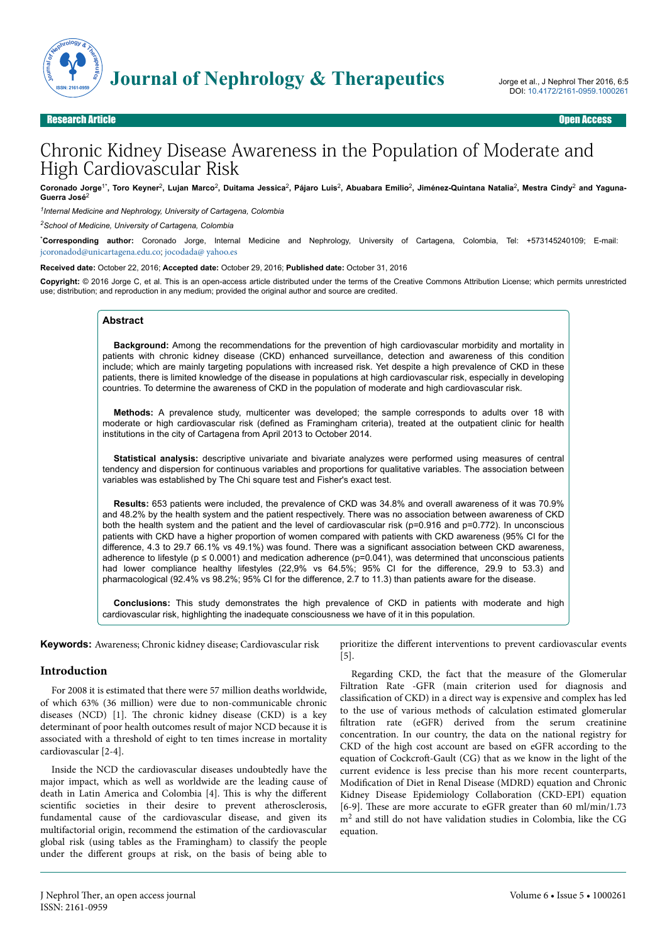

# Chronic Kidney Disease Awareness in the Population of Moderate and High Cardiovascular Risk

Coronado Jorge<sup>1\*</sup>, Toro Keyner<sup>2</sup>, Lujan Marco<sup>2</sup>, Duitama Jessica<sup>2</sup>, Pájaro Luis<sup>2</sup>, Abuabara Emilio<sup>2</sup>, Jiménez-Quintana Natalia<sup>2</sup>, Mestra Cindy<sup>2</sup> and Yaguna-**Guerra José**<sup>2</sup>

*1 Internal Medicine and Nephrology, University of Cartagena, Colombia*

*<sup>2</sup>School of Medicine, University of Cartagena, Colombia*

\***Corresponding author:** Coronado Jorge, Internal Medicine and Nephrology, University of Cartagena, Colombia, Tel: +573145240109; E-mail: [jcoronadod@unicartagena.edu.co](mailto:jcoronadod@unicartagena.edu.co); [jocodada@ yahoo.es](mailto:jcoronadod@unicartagena.edu.co)

**Received date:** October 22, 2016; **Accepted date:** October 29, 2016; **Published date:** October 31, 2016

**Copyright:** © 2016 Jorge C, et al. This is an open-access article distributed under the terms of the Creative Commons Attribution License; which permits unrestricted use; distribution; and reproduction in any medium; provided the original author and source are credited.

#### **Abstract**

**Background:** Among the recommendations for the prevention of high cardiovascular morbidity and mortality in patients with chronic kidney disease (CKD) enhanced surveillance, detection and awareness of this condition include; which are mainly targeting populations with increased risk. Yet despite a high prevalence of CKD in these patients, there is limited knowledge of the disease in populations at high cardiovascular risk, especially in developing countries. To determine the awareness of CKD in the population of moderate and high cardiovascular risk.

**Methods:** A prevalence study, multicenter was developed; the sample corresponds to adults over 18 with moderate or high cardiovascular risk (defined as Framingham criteria), treated at the outpatient clinic for health institutions in the city of Cartagena from April 2013 to October 2014.

**Statistical analysis:** descriptive univariate and bivariate analyzes were performed using measures of central tendency and dispersion for continuous variables and proportions for qualitative variables. The association between variables was established by The Chi square test and Fisher's exact test.

**Results:** 653 patients were included, the prevalence of CKD was 34.8% and overall awareness of it was 70.9% and 48.2% by the health system and the patient respectively. There was no association between awareness of CKD both the health system and the patient and the level of cardiovascular risk (p=0.916 and p=0.772). In unconscious patients with CKD have a higher proportion of women compared with patients with CKD awareness (95% CI for the difference, 4.3 to 29.7 66.1% vs 49.1%) was found. There was a significant association between CKD awareness, adherence to lifestyle ( $p \le 0.0001$ ) and medication adherence ( $p=0.041$ ), was determined that unconscious patients had lower compliance healthy lifestyles (22,9% vs 64.5%; 95% CI for the difference, 29.9 to 53.3) and pharmacological (92.4% vs 98.2%; 95% CI for the difference, 2.7 to 11.3) than patients aware for the disease.

**Conclusions:** This study demonstrates the high prevalence of CKD in patients with moderate and high cardiovascular risk, highlighting the inadequate consciousness we have of it in this population.

**Keywords:** Awareness; Chronic kidney disease; Cardiovascular risk

#### **Introduction**

For 2008 it is estimated that there were 57 million deaths worldwide, of which 63% (36 million) were due to non-communicable chronic diseases (NCD) [1]. Нe chronic kidney disease (CKD) is a key determinant of poor health outcomes result of major NCD because it is associated with a threshold of eight to ten times increase in mortality cardiovascular [2-4].

Inside the NCD the cardiovascular diseases undoubtedly have the major impact, which as well as worldwide are the leading cause of death in Latin America and Colombia [4]. This is why the different scientific societies in their desire to prevent atherosclerosis, fundamental cause of the cardiovascular disease, and given its multifactorial origin, recommend the estimation of the cardiovascular global risk (using tables as the Framingham) to classify the people under the different groups at risk, on the basis of being able to

prioritize the different interventions to prevent cardiovascular events [5].

Regarding CKD, the fact that the measure of the Glomerular Filtration Rate -GFR (main criterion used for diagnosis and classification of CKD) in a direct way is expensive and complex has led to the use of various methods of calculation estimated glomerular filtration rate (eGFR) derived from the serum creatinine concentration. In our country, the data on the national registry for CKD of the high cost account are based on eGFR according to the equation of Cockcroft-Gault (CG) that as we know in the light of the current evidence is less precise than his more recent counterparts, Modification of Diet in Renal Disease (MDRD) equation and Chronic Kidney Disease Epidemiology Collaboration (CKD-EPI) equation [6-9]. Нese are more accurate to eGFR greater than 60 ml/min/1.73 m<sup>2</sup> and still do not have validation studies in Colombia, like the CG equation.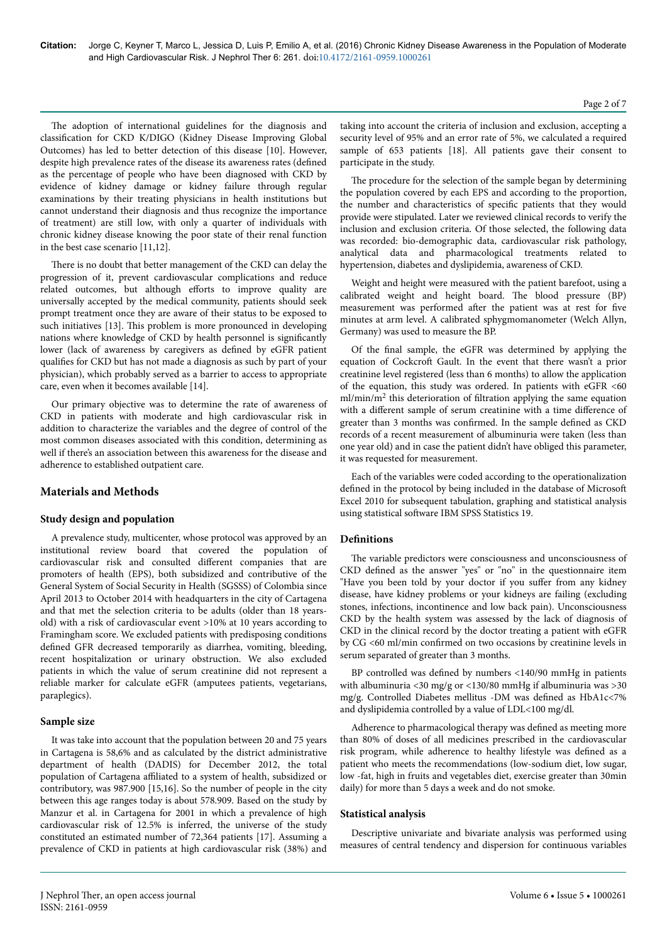The adoption of international guidelines for the diagnosis and classification for CKD K/DIGO (Kidney Disease Improving Global Outcomes) has led to better detection of this disease [10]. However, despite high prevalence rates of the disease its awareness rates (defined as the percentage of people who have been diagnosed with CKD by evidence of kidney damage or kidney failure through regular examinations by their treating physicians in health institutions but cannot understand their diagnosis and thus recognize the importance of treatment) are still low, with only a quarter of individuals with chronic kidney disease knowing the poor state of their renal function in the best case scenario [11,12].

There is no doubt that better management of the CKD can delay the progression of it, prevent cardiovascular complications and reduce related outcomes, but although efforts to improve quality are universally accepted by the medical community, patients should seek prompt treatment once they are aware of their status to be exposed to such initiatives [13]. This problem is more pronounced in developing nations where knowledge of CKD by health personnel is significantly lower (lack of awareness by caregivers as defined by eGFR patient qualifies for CKD but has not made a diagnosis as such by part of your physician), which probably served as a barrier to access to appropriate care, even when it becomes available [14].

Our primary objective was to determine the rate of awareness of CKD in patients with moderate and high cardiovascular risk in addition to characterize the variables and the degree of control of the most common diseases associated with this condition, determining as well if there's an association between this awareness for the disease and adherence to established outpatient care.

## **Materials and Methods**

## **Study design and population**

A prevalence study, multicenter, whose protocol was approved by an institutional review board that covered the population of cardiovascular risk and consulted different companies that are promoters of health (EPS), both subsidized and contributive of the General System of Social Security in Health (SGSSS) of Colombia since April 2013 to October 2014 with headquarters in the city of Cartagena and that met the selection criteria to be adults (older than 18 yearsold) with a risk of cardiovascular event >10% at 10 years according to Framingham score. We excluded patients with predisposing conditions defined GFR decreased temporarily as diarrhea, vomiting, bleeding, recent hospitalization or urinary obstruction. We also excluded patients in which the value of serum creatinine did not represent a reliable marker for calculate eGFR (amputees patients, vegetarians, paraplegics).

### **Sample size**

It was take into account that the population between 20 and 75 years in Cartagena is 58,6% and as calculated by the district administrative department of health (DADIS) for December 2012, the total population of Cartagena affiliated to a system of health, subsidized or contributory, was 987.900 [15,16]. So the number of people in the city between this age ranges today is about 578.909. Based on the study by Manzur et al. in Cartagena for 2001 in which a prevalence of high cardiovascular risk of 12.5% is inferred, the universe of the study constituted an estimated number of 72,364 patients [17]. Assuming a prevalence of CKD in patients at high cardiovascular risk (38%) and

taking into account the criteria of inclusion and exclusion, accepting a security level of 95% and an error rate of 5%, we calculated a required sample of 653 patients [18]. All patients gave their consent to participate in the study.

The procedure for the selection of the sample began by determining the population covered by each EPS and according to the proportion, the number and characteristics of specific patients that they would provide were stipulated. Later we reviewed clinical records to verify the inclusion and exclusion criteria. Of those selected, the following data was recorded: bio-demographic data, cardiovascular risk pathology, analytical data and pharmacological treatments related to hypertension, diabetes and dyslipidemia, awareness of CKD.

Weight and height were measured with the patient barefoot, using a calibrated weight and height board. Нe blood pressure (BP) measurement was performed after the patient was at rest for five minutes at arm level. A calibrated sphygmomanometer (Welch Allyn, Germany) was used to measure the BP.

Of the final sample, the eGFR was determined by applying the equation of Cockcroft Gault. In the event that there wasn't a prior creatinine level registered (less than 6 months) to allow the application of the equation, this study was ordered. In patients with eGFR <60 ml/min/m<sup>2</sup> this deterioration of filtration applying the same equation with a different sample of serum creatinine with a time difference of greater than 3 months was confirmed. In the sample defined as CKD records of a recent measurement of albuminuria were taken (less than one year old) and in case the patient didn't have obliged this parameter, it was requested for measurement.

Each of the variables were coded according to the operationalization defined in the protocol by being included in the database of Microsoft Excel 2010 for subsequent tabulation, graphing and statistical analysis using statistical software IBM SPSS Statistics 19.

## **Definitions**

The variable predictors were consciousness and unconsciousness of CKD defined as the answer "yes" or "no" in the questionnaire item "Have you been told by your doctor if you suffer from any kidney disease, have kidney problems or your kidneys are failing (excluding stones, infections, incontinence and low back pain). Unconsciousness CKD by the health system was assessed by the lack of diagnosis of CKD in the clinical record by the doctor treating a patient with eGFR by CG <60 ml/min confirmed on two occasions by creatinine levels in serum separated of greater than 3 months.

BP controlled was defined by numbers <140/90 mmHg in patients with albuminuria <30 mg/g or <130/80 mmHg if albuminuria was >30 mg/g. Controlled Diabetes mellitus -DM was defined as HbA1c<7% and dyslipidemia controlled by a value of LDL<100 mg/dl.

Adherence to pharmacological therapy was defined as meeting more than 80% of doses of all medicines prescribed in the cardiovascular risk program, while adherence to healthy lifestyle was defined as a patient who meets the recommendations (low-sodium diet, low sugar, low -fat, high in fruits and vegetables diet, exercise greater than 30min daily) for more than 5 days a week and do not smoke.

### **Statistical analysis**

Descriptive univariate and bivariate analysis was performed using measures of central tendency and dispersion for continuous variables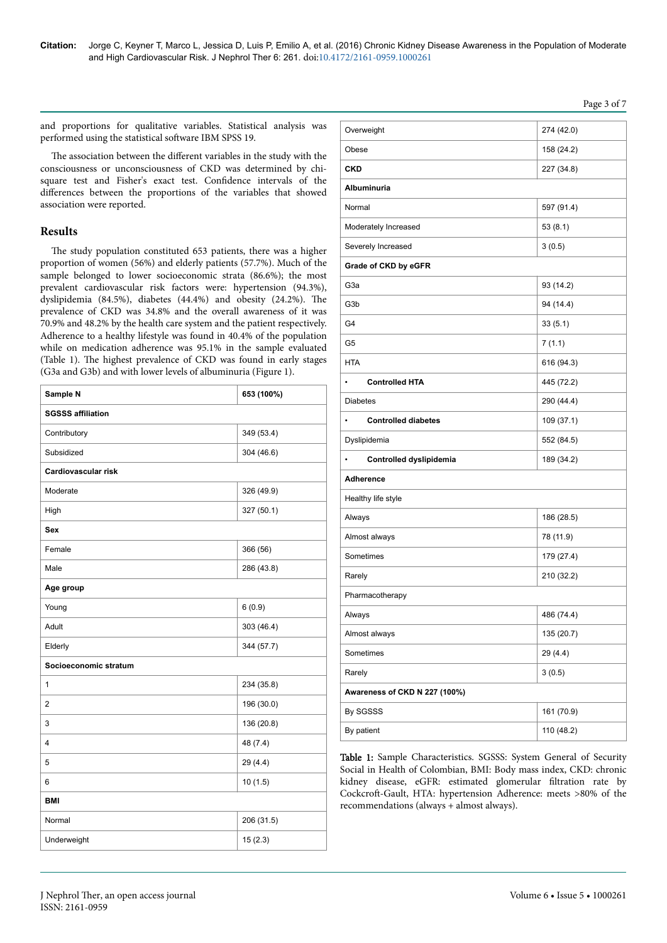## Page 3 of 7

and proportions for qualitative variables. Statistical analysis was performed using the statistical software IBM SPSS 19.

The association between the different variables in the study with the consciousness or unconsciousness of CKD was determined by chisquare test and Fisher's exact test. Confidence intervals of the differences between the proportions of the variables that showed association were reported.

### **Results**

The study population constituted 653 patients, there was a higher proportion of women (56%) and elderly patients (57.7%). Much of the sample belonged to lower socioeconomic strata (86.6%); the most prevalent cardiovascular risk factors were: hypertension (94.3%), dyslipidemia (84.5%), diabetes (44.4%) and obesity (24.2%). Нe prevalence of CKD was 34.8% and the overall awareness of it was 70.9% and 48.2% by the health care system and the patient respectively. Adherence to a healthy lifestyle was found in 40.4% of the population while on medication adherence was 95.1% in the sample evaluated (Table 1). Нe highest prevalence of CKD was found in early stages (G3a and G3b) and with lower levels of albuminuria (Figure 1).

| Sample N                   | 653 (100%) |  |  |
|----------------------------|------------|--|--|
| <b>SGSSS affiliation</b>   |            |  |  |
| Contributory               | 349 (53.4) |  |  |
| Subsidized                 | 304 (46.6) |  |  |
| <b>Cardiovascular risk</b> |            |  |  |
| Moderate                   | 326 (49.9) |  |  |
| High                       | 327 (50.1) |  |  |
| Sex                        |            |  |  |
| Female                     | 366 (56)   |  |  |
| Male                       | 286 (43.8) |  |  |
| Age group                  |            |  |  |
| Young                      | 6(0.9)     |  |  |
| Adult                      | 303 (46.4) |  |  |
| Elderly                    | 344 (57.7) |  |  |
| Socioeconomic stratum      |            |  |  |
| $\mathbf{1}$               | 234 (35.8) |  |  |
| $\overline{2}$             | 196 (30.0) |  |  |
| 3                          | 136 (20.8) |  |  |
| 4                          | 48 (7.4)   |  |  |
| 5                          | 29 (4.4)   |  |  |
| 6                          | 10(1.5)    |  |  |
| <b>BMI</b>                 |            |  |  |
| Normal                     | 206 (31.5) |  |  |
| Underweight                | 15(2.3)    |  |  |

| Overweight                    | 274 (42.0) |  |  |  |
|-------------------------------|------------|--|--|--|
| Obese                         | 158 (24.2) |  |  |  |
| <b>CKD</b>                    | 227 (34.8) |  |  |  |
| <b>Albuminuria</b>            |            |  |  |  |
| Normal                        | 597 (91.4) |  |  |  |
| Moderately Increased          | 53(8.1)    |  |  |  |
| Severely Increased            | 3(0.5)     |  |  |  |
| Grade of CKD by eGFR          |            |  |  |  |
| G3a                           | 93 (14.2)  |  |  |  |
| G3b                           | 94 (14.4)  |  |  |  |
| G4                            | 33(5.1)    |  |  |  |
| G5                            | 7(1.1)     |  |  |  |
| <b>HTA</b>                    | 616 (94.3) |  |  |  |
| <b>Controlled HTA</b>         | 445 (72.2) |  |  |  |
| <b>Diabetes</b>               | 290 (44.4) |  |  |  |
| <b>Controlled diabetes</b>    | 109 (37.1) |  |  |  |
| Dyslipidemia                  | 552 (84.5) |  |  |  |
| Controlled dyslipidemia       | 189 (34.2) |  |  |  |
| Adherence                     |            |  |  |  |
| Healthy life style            |            |  |  |  |
| Always                        | 186 (28.5) |  |  |  |
| Almost always                 | 78 (11.9)  |  |  |  |
| Sometimes                     | 179 (27.4) |  |  |  |
| Rarely                        | 210 (32.2) |  |  |  |
| Pharmacotherapy               |            |  |  |  |
| Always                        | 486 (74.4) |  |  |  |
| Almost always                 | 135 (20.7) |  |  |  |
| Sometimes<br>29 (4.4)         |            |  |  |  |
| Rarely<br>3(0.5)              |            |  |  |  |
| Awareness of CKD N 227 (100%) |            |  |  |  |
| By SGSSS<br>161 (70.9)        |            |  |  |  |
| By patient                    | 110 (48.2) |  |  |  |

Table 1: Sample Characteristics. SGSSS: System General of Security Social in Health of Colombian, BMI: Body mass index, CKD: chronic kidney disease, eGFR: estimated glomerular filtration rate by Cockcroft-Gault, HTA: hypertension Adherence: meets >80% of the recommendations (always + almost always).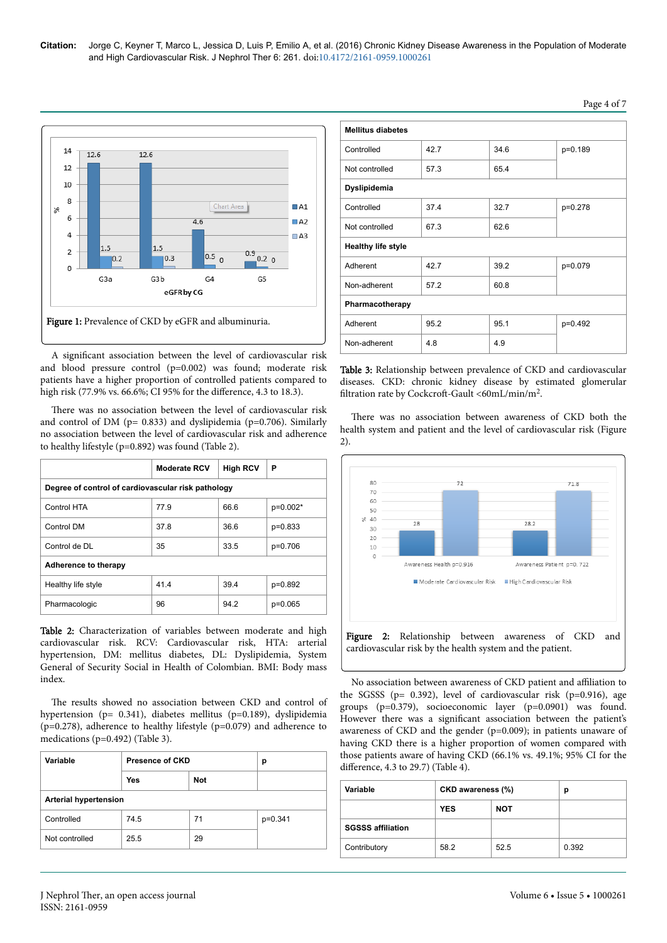

A significant association between the level of cardiovascular risk and blood pressure control (p=0.002) was found; moderate risk patients have a higher proportion of controlled patients compared to high risk (77.9% vs. 66.6%; CI 95% for the difference, 4.3 to 18.3).

There was no association between the level of cardiovascular risk and control of DM (p= 0.833) and dyslipidemia (p=0.706). Similarly no association between the level of cardiovascular risk and adherence to healthy lifestyle (p=0.892) was found (Table 2).

|                                                    | <b>Moderate RCV</b> | <b>High RCV</b> | Р         |
|----------------------------------------------------|---------------------|-----------------|-----------|
| Degree of control of cardiovascular risk pathology |                     |                 |           |
| Control HTA                                        | 77.9                | 66.6            | p=0.002*  |
| Control DM                                         | 37.8                | 36.6            | $p=0.833$ |
| Control de DL                                      | 35                  | 33.5            | p=0.706   |
| Adherence to therapy                               |                     |                 |           |
| Healthy life style                                 | 41.4                | 39.4            | p=0.892   |
| Pharmacologic                                      | 96                  | 94.2            | $p=0.065$ |

Table 2: Characterization of variables between moderate and high cardiovascular risk. RCV: Cardiovascular risk, HTA: arterial hypertension, DM: mellitus diabetes, DL: Dyslipidemia, System General of Security Social in Health of Colombian. BMI: Body mass index.

The results showed no association between CKD and control of hypertension (p= 0.341), diabetes mellitus (p=0.189), dyslipidemia (p=0.278), adherence to healthy lifestyle (p=0.079) and adherence to medications (p=0.492) (Table 3).

| <b>Presence of CKD</b>       |            | р         |  |
|------------------------------|------------|-----------|--|
| Yes                          | <b>Not</b> |           |  |
| <b>Arterial hypertension</b> |            |           |  |
| 74.5                         | 71         | $p=0.341$ |  |
| 25.5                         | 29         |           |  |
|                              |            |           |  |

| <b>Mellitus diabetes</b>  |      |      |         |  |
|---------------------------|------|------|---------|--|
| Controlled                | 42.7 | 34.6 | p=0.189 |  |
| Not controlled            | 57.3 | 65.4 |         |  |
| Dyslipidemia              |      |      |         |  |
| Controlled                | 37.4 | 32.7 | p=0.278 |  |
| Not controlled            | 67.3 | 62.6 |         |  |
| <b>Healthy life style</b> |      |      |         |  |
| Adherent                  | 42.7 | 39.2 | p=0.079 |  |
| Non-adherent              | 57.2 | 60.8 |         |  |
| Pharmacotherapy           |      |      |         |  |
| Adherent                  | 95.2 | 95.1 | p=0.492 |  |
| Non-adherent              | 4.8  | 4.9  |         |  |

Table 3: Relationship between prevalence of CKD and cardiovascular diseases. CKD: chronic kidney disease by estimated glomerular filtration rate by Cockcroft-Gault <60mL/min/m<sup>2</sup>.

There was no association between awareness of CKD both the health system and patient and the level of cardiovascular risk (Figure 2).



No association between awareness of CKD patient and affiliation to the SGSSS ( $p= 0.392$ ), level of cardiovascular risk ( $p=0.916$ ), age groups (p=0.379), socioeconomic layer (p=0.0901) was found. However there was a significant association between the patient's awareness of CKD and the gender (p=0.009); in patients unaware of having CKD there is a higher proportion of women compared with those patients aware of having CKD (66.1% vs. 49.1%; 95% CI for the difference,  $4.3$  to  $29.7$ ) (Table 4).

| Variable                 | CKD awareness (%) |            | р     |
|--------------------------|-------------------|------------|-------|
|                          | <b>YES</b>        | <b>NOT</b> |       |
| <b>SGSSS affiliation</b> |                   |            |       |
| Contributory             | 58.2              | 52.5       | 0.392 |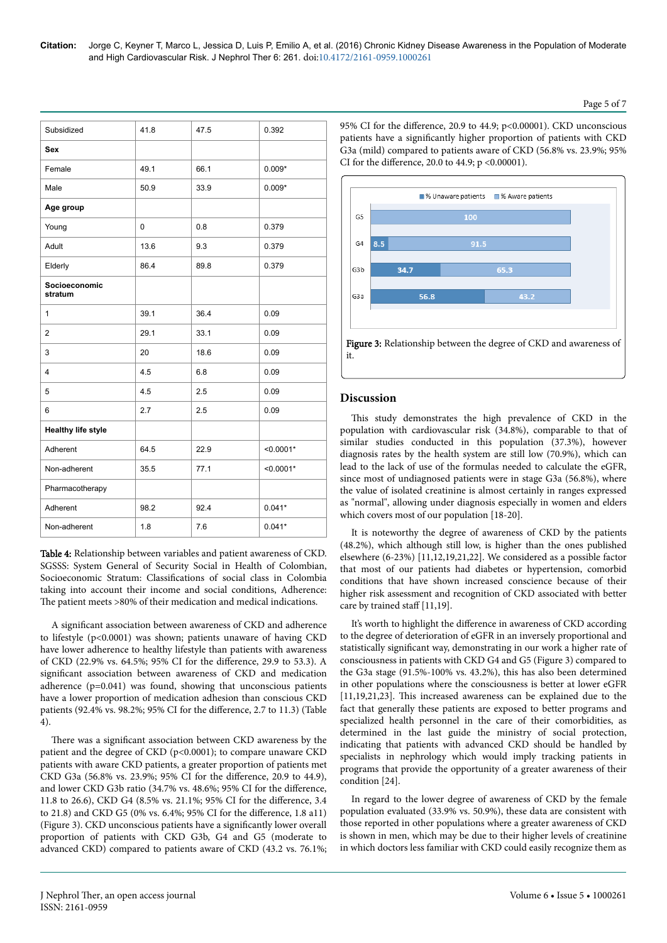| Subsidized                | 41.8 | 47.5 | 0.392       |
|---------------------------|------|------|-------------|
| Sex                       |      |      |             |
| Female                    | 49.1 | 66.1 | $0.009*$    |
| Male                      | 50.9 | 33.9 | $0.009*$    |
| Age group                 |      |      |             |
| Young                     | 0    | 0.8  | 0.379       |
| Adult                     | 13.6 | 9.3  | 0.379       |
| Elderly                   | 86.4 | 89.8 | 0.379       |
| Socioeconomic<br>stratum  |      |      |             |
| 1                         | 39.1 | 36.4 | 0.09        |
| $\overline{2}$            | 29.1 | 33.1 | 0.09        |
| 3                         | 20   | 18.6 | 0.09        |
| $\overline{4}$            | 4.5  | 6.8  | 0.09        |
| 5                         | 4.5  | 2.5  | 0.09        |
| 6                         | 2.7  | 2.5  | 0.09        |
| <b>Healthy life style</b> |      |      |             |
| Adherent                  | 64.5 | 22.9 | $< 0.0001*$ |
| Non-adherent              | 35.5 | 77.1 | $< 0.0001*$ |
| Pharmacotherapy           |      |      |             |
| Adherent                  | 98.2 | 92.4 | $0.041*$    |
| Non-adherent              | 1.8  | 7.6  | $0.041*$    |
|                           |      |      |             |

Table 4: Relationship between variables and patient awareness of CKD. SGSSS: System General of Security Social in Health of Colombian, Socioeconomic Stratum: Classifications of social class in Colombia taking into account their income and social conditions, Adherence: The patient meets >80% of their medication and medical indications.

A significant association between awareness of CKD and adherence to lifestyle (p<0.0001) was shown; patients unaware of having CKD have lower adherence to healthy lifestyle than patients with awareness of CKD (22.9% vs. 64.5%; 95% CI for the difference, 29.9 to 53.3). A significant association between awareness of CKD and medication adherence (p=0.041) was found, showing that unconscious patients have a lower proportion of medication adhesion than conscious CKD patients (92.4% vs. 98.2%; 95% CI for the difference, 2.7 to 11.3) (Table 4).

There was a significant association between CKD awareness by the patient and the degree of CKD (p<0.0001); to compare unaware CKD patients with aware CKD patients, a greater proportion of patients met CKD G3a (56.8% vs. 23.9%; 95% CI for the difference, 20.9 to 44.9), and lower CKD G3b ratio (34.7% vs. 48.6%; 95% CI for the difference, 11.8 to 26.6), CKD G4 (8.5% vs. 21.1%; 95% CI for the difference, 3.4 to 21.8) and CKD G5 (0% vs. 6.4%; 95% CI for the difference, 1.8 a11) (Figure 3). CKD unconscious patients have a significantly lower overall proportion of patients with CKD G3b, G4 and G5 (moderate to advanced CKD) compared to patients aware of CKD (43.2 vs. 76.1%; 95% CI for the difference, 20.9 to 44.9;  $p<0.00001$ ). CKD unconscious patients have a significantly higher proportion of patients with CKD G3a (mild) compared to patients aware of CKD (56.8% vs. 23.9%; 95% CI for the difference, 20.0 to 44.9;  $p < 0.00001$ ).



## **Discussion**

This study demonstrates the high prevalence of CKD in the population with cardiovascular risk (34.8%), comparable to that of similar studies conducted in this population (37.3%), however diagnosis rates by the health system are still low (70.9%), which can lead to the lack of use of the formulas needed to calculate the eGFR, since most of undiagnosed patients were in stage G3a (56.8%), where the value of isolated creatinine is almost certainly in ranges expressed as "normal", allowing under diagnosis especially in women and elders which covers most of our population [18-20].

It is noteworthy the degree of awareness of CKD by the patients (48.2%), which although still low, is higher than the ones published elsewhere (6-23%) [11,12,19,21,22]. We considered as a possible factor that most of our patients had diabetes or hypertension, comorbid conditions that have shown increased conscience because of their higher risk assessment and recognition of CKD associated with better care by trained staff  $[11,19]$ .

It's worth to highlight the difference in awareness of CKD according to the degree of deterioration of eGFR in an inversely proportional and statistically significant way, demonstrating in our work a higher rate of consciousness in patients with CKD G4 and G5 (Figure 3) compared to the G3a stage (91.5%-100% vs. 43.2%), this has also been determined in other populations where the consciousness is better at lower eGFR  $[11,19,21,23]$ . This increased awareness can be explained due to the fact that generally these patients are exposed to better programs and specialized health personnel in the care of their comorbidities, as determined in the last guide the ministry of social protection, indicating that patients with advanced CKD should be handled by specialists in nephrology which would imply tracking patients in programs that provide the opportunity of a greater awareness of their condition [24].

In regard to the lower degree of awareness of CKD by the female population evaluated (33.9% vs. 50.9%), these data are consistent with those reported in other populations where a greater awareness of CKD is shown in men, which may be due to their higher levels of creatinine in which doctors less familiar with CKD could easily recognize them as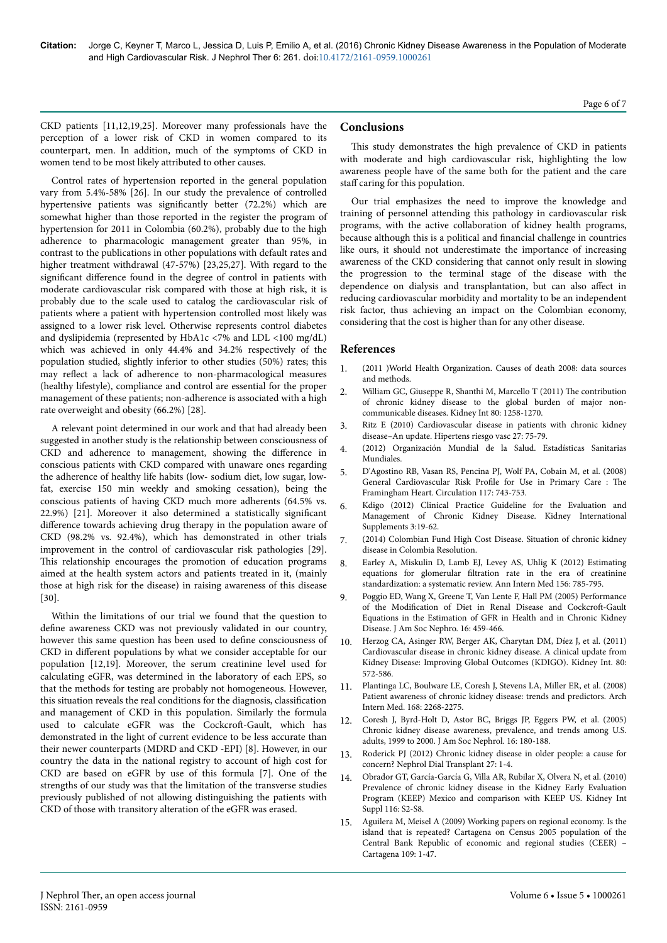CKD patients [11,12,19,25]. Moreover many professionals have the perception of a lower risk of CKD in women compared to its counterpart, men. In addition, much of the symptoms of CKD in women tend to be most likely attributed to other causes.

Control rates of hypertension reported in the general population vary from 5.4%-58% [26]. In our study the prevalence of controlled hypertensive patients was significantly better (72.2%) which are somewhat higher than those reported in the register the program of hypertension for 2011 in Colombia (60.2%), probably due to the high adherence to pharmacologic management greater than 95%, in contrast to the publications in other populations with default rates and higher treatment withdrawal (47-57%) [23,25,27]. With regard to the significant difference found in the degree of control in patients with moderate cardiovascular risk compared with those at high risk, it is probably due to the scale used to catalog the cardiovascular risk of patients where a patient with hypertension controlled most likely was assigned to a lower risk level. Otherwise represents control diabetes and dyslipidemia (represented by HbA1c <7% and LDL <100 mg/dL) which was achieved in only 44.4% and 34.2% respectively of the population studied, slightly inferior to other studies (50%) rates; this may reflect a lack of adherence to non-pharmacological measures (healthy lifestyle), compliance and control are essential for the proper management of these patients; non-adherence is associated with a high rate overweight and obesity (66.2%) [28].

A relevant point determined in our work and that had already been suggested in another study is the relationship between consciousness of CKD and adherence to management, showing the difference in conscious patients with CKD compared with unaware ones regarding the adherence of healthy life habits (low- sodium diet, low sugar, lowfat, exercise 150 min weekly and smoking cessation), being the conscious patients of having CKD much more adherents (64.5% vs.  $22.9\%$ ) [21]. Moreover it also determined a statistically significant difference towards achieving drug therapy in the population aware of CKD (98.2% vs. 92.4%), which has demonstrated in other trials improvement in the control of cardiovascular risk pathologies [29]. This relationship encourages the promotion of education programs aimed at the health system actors and patients treated in it, (mainly those at high risk for the disease) in raising awareness of this disease [30].

Within the limitations of our trial we found that the question to define awareness CKD was not previously validated in our country, however this same question has been used to define consciousness of CKD in different populations by what we consider acceptable for our population [12,19]. Moreover, the serum creatinine level used for calculating eGFR, was determined in the laboratory of each EPS, so that the methods for testing are probably not homogeneous. However, this situation reveals the real conditions for the diagnosis, classification and management of CKD in this population. Similarly the formula used to calculate eGFR was the Cockcroft-Gault, which has demonstrated in the light of current evidence to be less accurate than their newer counterparts (MDRD and CKD -EPI) [8]. However, in our country the data in the national registry to account of high cost for CKD are based on eGFR by use of this formula [7]. One of the strengths of our study was that the limitation of the transverse studies previously published of not allowing distinguishing the patients with CKD of those with transitory alteration of the eGFR was erased.

## **Conclusions**

This study demonstrates the high prevalence of CKD in patients with moderate and high cardiovascular risk, highlighting the low awareness people have of the same both for the patient and the care staff caring for this population.

Our trial emphasizes the need to improve the knowledge and training of personnel attending this pathology in cardiovascular risk programs, with the active collaboration of kidney health programs, because although this is a political and financial challenge in countries like ours, it should not underestimate the importance of increasing awareness of the CKD considering that cannot only result in slowing the progression to the terminal stage of the disease with the dependence on dialysis and transplantation, but can also affect in reducing cardiovascular morbidity and mortality to be an independent risk factor, thus achieving an impact on the Colombian economy, considering that the cost is higher than for any other disease.

## **References**

- 1. (2011 [\)World Health Organization. Causes of death 2008: data sources](http://www.who.int/healthinfo/global_burden_disease/cod_2008_sources_methods.pdf) [and methods.](http://www.who.int/healthinfo/global_burden_disease/cod_2008_sources_methods.pdf)
- 2. [William GC, Giuseppe R, Shanthi M, Marcello T \(2011\)](https://dx.doi.org/10.1038/ki.2011.368) The contribution [of chronic kidney disease to the global burden of major non](https://dx.doi.org/10.1038/ki.2011.368)[communicable diseases. Kidney Int 80: 1258-1270.](https://dx.doi.org/10.1038/ki.2011.368)
- 3. [Ritz E \(2010\) Cardiovascular disease in patients with chronic kidney](http://www.elsevier.es/es-revista-hipertension-riesgo-vascular-67-articulo-cardiovascular-disease-in-patients-with-S1889183709000804) [disease–An update. Hipertens riesgo vasc 27: 75-79](http://www.elsevier.es/es-revista-hipertension-riesgo-vascular-67-articulo-cardiovascular-disease-in-patients-with-S1889183709000804).
- 4. (2012) [Organización Mundial de la Salud. Estadísticas Sanitarias](http://www.who.int/gho/publications/world_health_statistics/ES_WHS2012_Full.pdf) [Mundiales.](http://www.who.int/gho/publications/world_health_statistics/ES_WHS2012_Full.pdf)
- 5. [D'Agostino RB, Vasan RS, Pencina PJ, Wolf PA, Cobain M, et al. \(2008\)](https://dx.doi.org/10.1161/CIRCULATIONAHA.107.699579) General Cardiovascular Risk Profile [for Use in Primary Care :](https://dx.doi.org/10.1161/CIRCULATIONAHA.107.699579) The [Framingham Heart. Circulation 117: 743-753](https://dx.doi.org/10.1161/CIRCULATIONAHA.107.699579).
- 6. [Kdigo \(2012\) Clinical Practice Guideline for the Evaluation and](http://www.kdigo.org/clinical_practice_guidelines/pdf/CKD/KDIGO_2012_CKD_GL.pdf) [Management of Chronic Kidney Disease. Kidney International](http://www.kdigo.org/clinical_practice_guidelines/pdf/CKD/KDIGO_2012_CKD_GL.pdf) [Supplements 3:19-62](http://www.kdigo.org/clinical_practice_guidelines/pdf/CKD/KDIGO_2012_CKD_GL.pdf).
- 7. [\(2014\) Colombian Fund High Cost Disease. Situation of chronic kidney](http://www.cuentadealtocosto.org/byblos/Docs/SITUACION_DE_LA_ENFERME) [disease in Colombia Resolution.](http://www.cuentadealtocosto.org/byblos/Docs/SITUACION_DE_LA_ENFERME)
- 8. [Earley A, Miskulin D, Lamb EJ, Levey AS, Uhlig K \(2012\) Estimating](https://dx.doi.org/10.7326/0003-4819-156-6-201203200-00391) equations for glomerular filtration [rate in the era of creatinine](https://dx.doi.org/10.7326/0003-4819-156-6-201203200-00391) [standardization: a systematic review. Ann Intern Med 156: 785-795.](https://dx.doi.org/10.7326/0003-4819-156-6-201203200-00391)
- 9. [Poggio ED, Wang X, Greene T, Van Lente F, Hall PM \(2005\) Performance](https://dx.doi.org/10.1681/ASN.2004060447) of the Modification [of Diet in Renal Disease and](https://dx.doi.org/10.1681/ASN.2004060447) Cockcroft-Gault [Equations in the Estimation of GFR in Health and in Chronic Kidney](https://dx.doi.org/10.1681/ASN.2004060447) [Disease. J Am Soc Nephro. 16: 459-466.](https://dx.doi.org/10.1681/ASN.2004060447)
- 10. [Herzog CA, Asinger RW, Berger AK, Charytan DM, Díez J, et al. \(2011\)](https://dx.doi.org/10.1038/ki.2011.223) [Cardiovascular disease in chronic kidney disease. A clinical update from](https://dx.doi.org/10.1038/ki.2011.223) [Kidney Disease: Improving Global Outcomes \(KDIGO\). Kidney Int. 80:](https://dx.doi.org/10.1038/ki.2011.223) [572-586.](https://dx.doi.org/10.1038/ki.2011.223)
- 11. [Plantinga LC, Boulware LE, Coresh J, Stevens LA, Miller ER, et al. \(2008\)](https://dx.doi.org/10.1001/archinte.168.20.2268) [Patient awareness of chronic kidney disease: trends and predictors. Arch](https://dx.doi.org/10.1001/archinte.168.20.2268) [Intern Med. 168: 2268-2275.](https://dx.doi.org/10.1001/archinte.168.20.2268)
- 12. [Coresh J, Byrd-Holt D, Astor BC, Briggs JP, Eggers PW, et al. \(2005\)](https://dx.doi.org/10.1681/ASN.2004070539) [Chronic kidney disease awareness, prevalence, and trends among U.S.](https://dx.doi.org/10.1681/ASN.2004070539) [adults, 1999 to 2000. J Am Soc Nephrol. 16: 180-188.](https://dx.doi.org/10.1681/ASN.2004070539)
- 13. [Roderick PJ \(2012\) Chronic kidney disease in older people: a cause for](https://dx.doi.org/10.1093/ndt/gfr515) [concern? Nephrol Dial Transplant 27: 1-4.](https://dx.doi.org/10.1093/ndt/gfr515)
- 14. [Obrador GT, García-García G, Villa AR, Rubilar X, Olvera N, et al. \(2010\)](https://dx.doi.org/10.1038/ki.2009.540) [Prevalence of chronic kidney disease in the Kidney Early Evaluation](https://dx.doi.org/10.1038/ki.2009.540) [Program \(KEEP\) Mexico and comparison with KEEP US. Kidney Int](https://dx.doi.org/10.1038/ki.2009.540) [Suppl 116: S2-S8.](https://dx.doi.org/10.1038/ki.2009.540)
- 15. [Aguilera M, Meisel A \(2009\) Working papers on regional economy. Is the](http://www.banrep.gov.co/documentos/publicaciones/regional/documentos/DTSE%20R-109.pdf) [island that is repeated? Cartagena on Census 2005 population of the](http://www.banrep.gov.co/documentos/publicaciones/regional/documentos/DTSE%20R-109.pdf) [Central Bank Republic of economic and regional studies \(CEER\) –](http://www.banrep.gov.co/documentos/publicaciones/regional/documentos/DTSE%20R-109.pdf) [Cartagena 109: 1-47.](http://www.banrep.gov.co/documentos/publicaciones/regional/documentos/DTSE%20R-109.pdf)